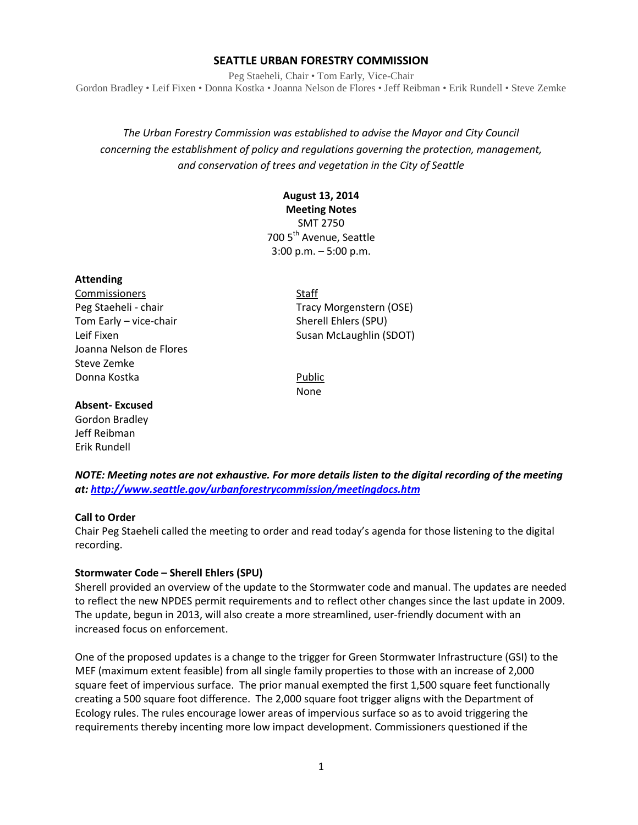## **SEATTLE URBAN FORESTRY COMMISSION**

Peg Staeheli, Chair • Tom Early, Vice-Chair Gordon Bradley • Leif Fixen • Donna Kostka • Joanna Nelson de Flores • Jeff Reibman • Erik Rundell • Steve Zemke

## *The Urban Forestry Commission was established to advise the Mayor and City Council concerning the establishment of policy and regulations governing the protection, management, and conservation of trees and vegetation in the City of Seattle*

# **August 13, 2014**

**Meeting Notes** SMT 2750 700 5<sup>th</sup> Avenue, Seattle 3:00 p.m. – 5:00 p.m.

## **Attending**

Commissioners Staff Tom Early – vice-chair Sherell Ehlers (SPU) Joanna Nelson de Flores Steve Zemke Donna Kostka Public

Peg Staeheli - chair Tracy Morgenstern (OSE) Leif Fixen Susan McLaughlin (SDOT)

None

## **Absent- Excused**

Gordon Bradley Jeff Reibman Erik Rundell

*NOTE: Meeting notes are not exhaustive. For more details listen to the digital recording of the meeting at:<http://www.seattle.gov/urbanforestrycommission/meetingdocs.htm>*

## **Call to Order**

Chair Peg Staeheli called the meeting to order and read today's agenda for those listening to the digital recording.

## **Stormwater Code – Sherell Ehlers (SPU)**

Sherell provided an overview of the update to the Stormwater code and manual. The updates are needed to reflect the new NPDES permit requirements and to reflect other changes since the last update in 2009. The update, begun in 2013, will also create a more streamlined, user-friendly document with an increased focus on enforcement.

One of the proposed updates is a change to the trigger for Green Stormwater Infrastructure (GSI) to the MEF (maximum extent feasible) from all single family properties to those with an increase of 2,000 square feet of impervious surface. The prior manual exempted the first 1,500 square feet functionally creating a 500 square foot difference. The 2,000 square foot trigger aligns with the Department of Ecology rules. The rules encourage lower areas of impervious surface so as to avoid triggering the requirements thereby incenting more low impact development. Commissioners questioned if the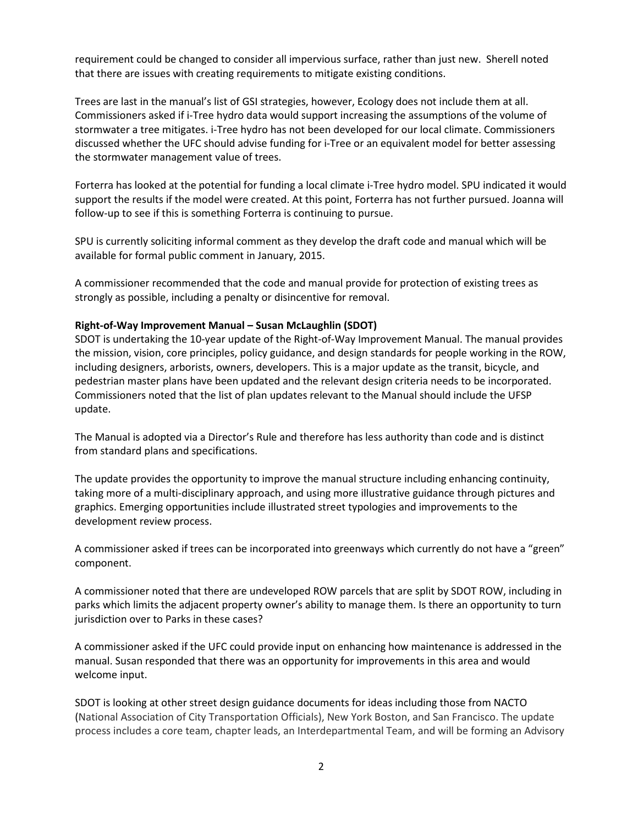requirement could be changed to consider all impervious surface, rather than just new. Sherell noted that there are issues with creating requirements to mitigate existing conditions.

Trees are last in the manual's list of GSI strategies, however, Ecology does not include them at all. Commissioners asked if i-Tree hydro data would support increasing the assumptions of the volume of stormwater a tree mitigates. i-Tree hydro has not been developed for our local climate. Commissioners discussed whether the UFC should advise funding for i-Tree or an equivalent model for better assessing the stormwater management value of trees.

Forterra has looked at the potential for funding a local climate i-Tree hydro model. SPU indicated it would support the results if the model were created. At this point, Forterra has not further pursued. Joanna will follow-up to see if this is something Forterra is continuing to pursue.

SPU is currently soliciting informal comment as they develop the draft code and manual which will be available for formal public comment in January, 2015.

A commissioner recommended that the code and manual provide for protection of existing trees as strongly as possible, including a penalty or disincentive for removal.

## **Right-of-Way Improvement Manual – Susan McLaughlin (SDOT)**

SDOT is undertaking the 10-year update of the Right-of-Way Improvement Manual. The manual provides the mission, vision, core principles, policy guidance, and design standards for people working in the ROW, including designers, arborists, owners, developers. This is a major update as the transit, bicycle, and pedestrian master plans have been updated and the relevant design criteria needs to be incorporated. Commissioners noted that the list of plan updates relevant to the Manual should include the UFSP update.

The Manual is adopted via a Director's Rule and therefore has less authority than code and is distinct from standard plans and specifications.

The update provides the opportunity to improve the manual structure including enhancing continuity, taking more of a multi-disciplinary approach, and using more illustrative guidance through pictures and graphics. Emerging opportunities include illustrated street typologies and improvements to the development review process.

A commissioner asked if trees can be incorporated into greenways which currently do not have a "green" component.

A commissioner noted that there are undeveloped ROW parcels that are split by SDOT ROW, including in parks which limits the adjacent property owner's ability to manage them. Is there an opportunity to turn jurisdiction over to Parks in these cases?

A commissioner asked if the UFC could provide input on enhancing how maintenance is addressed in the manual. Susan responded that there was an opportunity for improvements in this area and would welcome input.

SDOT is looking at other street design guidance documents for ideas including those from NACTO (National Association of City Transportation Officials), New York Boston, and San Francisco. The update process includes a core team, chapter leads, an Interdepartmental Team, and will be forming an Advisory